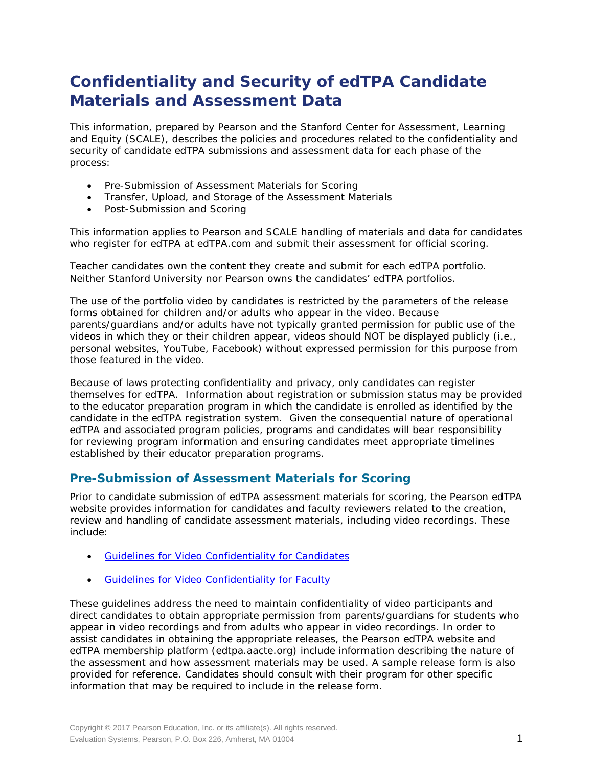# **Confidentiality and Security of edTPA Candidate Materials and Assessment Data**

This information, prepared by Pearson and the Stanford Center for Assessment, Learning and Equity (SCALE), describes the policies and procedures related to the confidentiality and security of candidate edTPA submissions and assessment data for each phase of the process:

- Pre-Submission of Assessment Materials for Scoring
- Transfer, Upload, and Storage of the Assessment Materials
- Post-Submission and Scoring

This information applies to Pearson and SCALE handling of materials and data for candidates who register for edTPA at edTPA.com and submit their assessment for official scoring.

Teacher candidates own the content they create and submit for each edTPA portfolio. Neither Stanford University nor Pearson owns the candidates' edTPA portfolios.

The use of the portfolio video by candidates is restricted by the parameters of the release forms obtained for children and/or adults who appear in the video. Because parents/guardians and/or adults have not typically granted permission for public use of the videos in which they or their children appear, videos should NOT be displayed publicly (i.e., personal websites, YouTube, Facebook) without expressed permission for this purpose from those featured in the video.

Because of laws protecting confidentiality and privacy, only candidates can register themselves for edTPA. Information about registration or submission status may be provided to the educator preparation program in which the candidate is enrolled as identified by the candidate in the edTPA registration system. Given the consequential nature of operational edTPA and associated program policies, programs and candidates will bear responsibility for reviewing program information and ensuring candidates meet appropriate timelines established by their educator preparation programs.

## **Pre-Submission of Assessment Materials for Scoring**

Prior to candidate submission of edTPA assessment materials for scoring, the Pearson edTPA website provides information for candidates and faculty reviewers related to the creation, review and handling of candidate assessment materials, including video recordings. These include:

- [Guidelines for Video Confidentiality for Candidates](http://www.edtpa.com/Content/Docs/VideoConfidentialityCandidates.pdf)
- [Guidelines for Video Confidentiality for Faculty](http://www.edtpa.com/Content/Docs/VideoConfidentialityFaculty.pdf)

These guidelines address the need to maintain confidentiality of video participants and direct candidates to obtain appropriate permission from parents/guardians for students who appear in video recordings and from adults who appear in video recordings. In order to assist candidates in obtaining the appropriate releases, the Pearson edTPA website and edTPA membership platform (edtpa.aacte.org) include information describing the nature of the assessment and how assessment materials may be used. A sample release form is also provided for reference. Candidates should consult with their program for other specific information that may be required to include in the release form.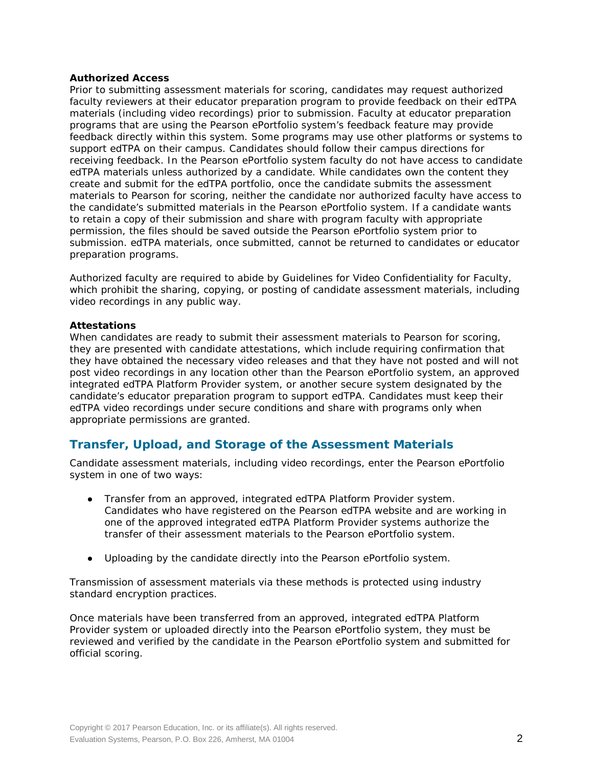## **Authorized Access**

Prior to submitting assessment materials for scoring, candidates may request authorized faculty reviewers at their educator preparation program to provide feedback on their edTPA materials (including video recordings) prior to submission. Faculty at educator preparation programs that are using the Pearson ePortfolio system's feedback feature may provide feedback directly within this system. Some programs may use other platforms or systems to support edTPA on their campus. Candidates should follow their campus directions for receiving feedback. In the Pearson ePortfolio system faculty do not have access to candidate edTPA materials unless authorized by a candidate. While candidates own the content they create and submit for the edTPA portfolio, once the candidate submits the assessment materials to Pearson for scoring, neither the candidate nor authorized faculty have access to the candidate's submitted materials in the Pearson ePortfolio system. If a candidate wants to retain a copy of their submission and share with program faculty with appropriate permission, the files should be saved outside the Pearson ePortfolio system prior to submission. edTPA materials, once submitted, cannot be returned to candidates or educator preparation programs.

Authorized faculty are required to abide by Guidelines for Video Confidentiality for Faculty, which prohibit the sharing, copying, or posting of candidate assessment materials, including video recordings in any public way.

## **Attestations**

When candidates are ready to submit their assessment materials to Pearson for scoring, they are presented with candidate attestations, which include requiring confirmation that they have obtained the necessary video releases and that they have not posted and will not post video recordings in any location other than the Pearson ePortfolio system, an approved integrated edTPA Platform Provider system, or another secure system designated by the candidate's educator preparation program to support edTPA. Candidates must keep their edTPA video recordings under secure conditions and share with programs only when appropriate permissions are granted.

# **Transfer, Upload, and Storage of the Assessment Materials**

Candidate assessment materials, including video recordings, enter the Pearson ePortfolio system in one of two ways:

- Transfer from an approved, integrated edTPA Platform Provider system. Candidates who have registered on the Pearson edTPA website and are working in one of the approved integrated edTPA Platform Provider systems authorize the transfer of their assessment materials to the Pearson ePortfolio system.
- Uploading by the candidate directly into the Pearson ePortfolio system.

Transmission of assessment materials via these methods is protected using industry standard encryption practices.

Once materials have been transferred from an approved, integrated edTPA Platform Provider system or uploaded directly into the Pearson ePortfolio system, they must be reviewed and verified by the candidate in the Pearson ePortfolio system and submitted for official scoring.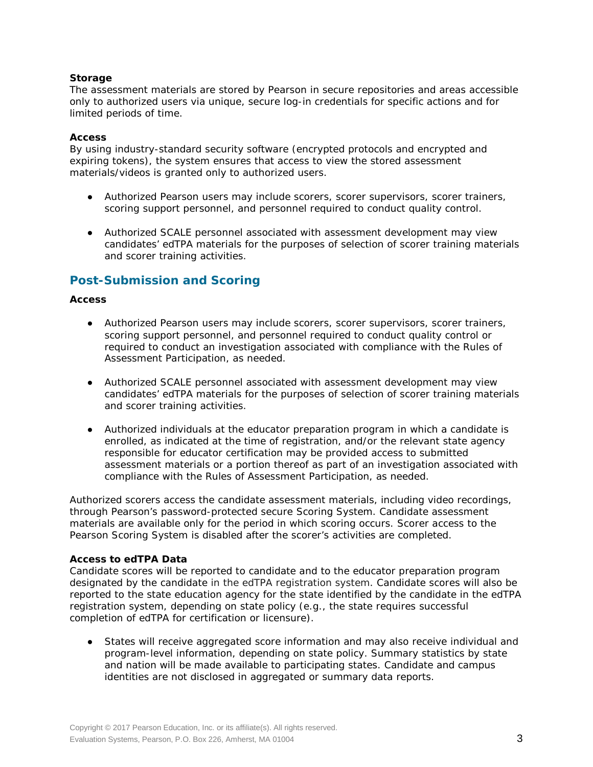## **Storage**

The assessment materials are stored by Pearson in secure repositories and areas accessible only to authorized users via unique, secure log-in credentials for specific actions and for limited periods of time.

## **Access**

By using industry-standard security software (encrypted protocols and encrypted and expiring tokens), the system ensures that access to view the stored assessment materials/videos is granted only to authorized users.

- Authorized Pearson users may include scorers, scorer supervisors, scorer trainers, scoring support personnel, and personnel required to conduct quality control.
- Authorized SCALE personnel associated with assessment development may view candidates' edTPA materials for the purposes of selection of scorer training materials and scorer training activities.

# **Post-Submission and Scoring**

## **Access**

- Authorized Pearson users may include scorers, scorer supervisors, scorer trainers, scoring support personnel, and personnel required to conduct quality control or required to conduct an investigation associated with compliance with the Rules of Assessment Participation, as needed.
- Authorized SCALE personnel associated with assessment development may view candidates' edTPA materials for the purposes of selection of scorer training materials and scorer training activities.
- Authorized individuals at the educator preparation program in which a candidate is enrolled, as indicated at the time of registration, and/or the relevant state agency responsible for educator certification may be provided access to submitted assessment materials or a portion thereof as part of an investigation associated with compliance with the Rules of Assessment Participation, as needed.

Authorized scorers access the candidate assessment materials, including video recordings, through Pearson's password-protected secure Scoring System. Candidate assessment materials are available only for the period in which scoring occurs. Scorer access to the Pearson Scoring System is disabled after the scorer's activities are completed.

## **Access to edTPA Data**

Candidate scores will be reported to candidate and to the educator preparation program designated by the candidate in the edTPA registration system. Candidate scores will also be reported to the state education agency for the state identified by the candidate in the edTPA registration system, depending on state policy (e.g., the state requires successful completion of edTPA for certification or licensure).

States will receive aggregated score information and may also receive individual and program-level information, depending on state policy. Summary statistics by state and nation will be made available to participating states. Candidate and campus identities are not disclosed in aggregated or summary data reports.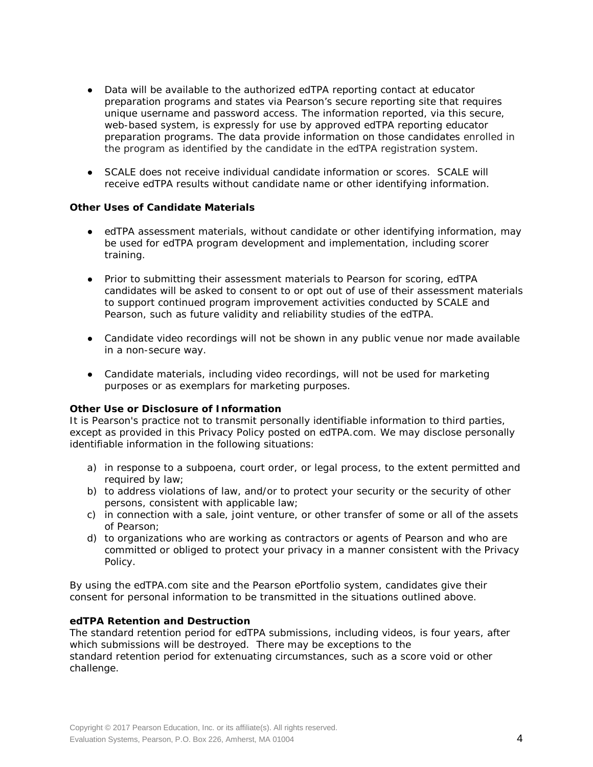- Data will be available to the authorized edTPA reporting contact at educator preparation programs and states via Pearson's secure reporting site that requires unique username and password access. The information reported, via this secure, web-based system, is expressly for use by approved edTPA reporting educator preparation programs. The data provide information on those candidates enrolled in the program as identified by the candidate in the edTPA registration system.
- SCALE does not receive individual candidate information or scores. SCALE will receive edTPA results without candidate name or other identifying information.

## **Other Uses of Candidate Materials**

- edTPA assessment materials, without candidate or other identifying information, may be used for edTPA program development and implementation, including scorer training.
- Prior to submitting their assessment materials to Pearson for scoring, edTPA candidates will be asked to consent to or opt out of use of their assessment materials to support continued program improvement activities conducted by SCALE and Pearson, such as future validity and reliability studies of the edTPA.
- Candidate video recordings will not be shown in any public venue nor made available in a non-secure way.
- Candidate materials, including video recordings, will not be used for marketing purposes or as exemplars for marketing purposes.

#### **Other Use or Disclosure of Information**

It is Pearson's practice not to transmit personally identifiable information to third parties, except as provided in this Privacy Policy posted on edTPA.com. We may disclose personally identifiable information in the following situations:

- a) in response to a subpoena, court order, or legal process, to the extent permitted and required by law;
- b) to address violations of law, and/or to protect your security or the security of other persons, consistent with applicable law;
- c) in connection with a sale, joint venture, or other transfer of some or all of the assets of Pearson;
- d) to organizations who are working as contractors or agents of Pearson and who are committed or obliged to protect your privacy in a manner consistent with the Privacy Policy.

By using the edTPA.com site and the Pearson ePortfolio system, candidates give their consent for personal information to be transmitted in the situations outlined above.

## **edTPA Retention and Destruction**

The standard retention period for edTPA submissions, including videos, is four years, after which submissions will be destroyed. There may be exceptions to the standard retention period for extenuating circumstances, such as a score void or other challenge.